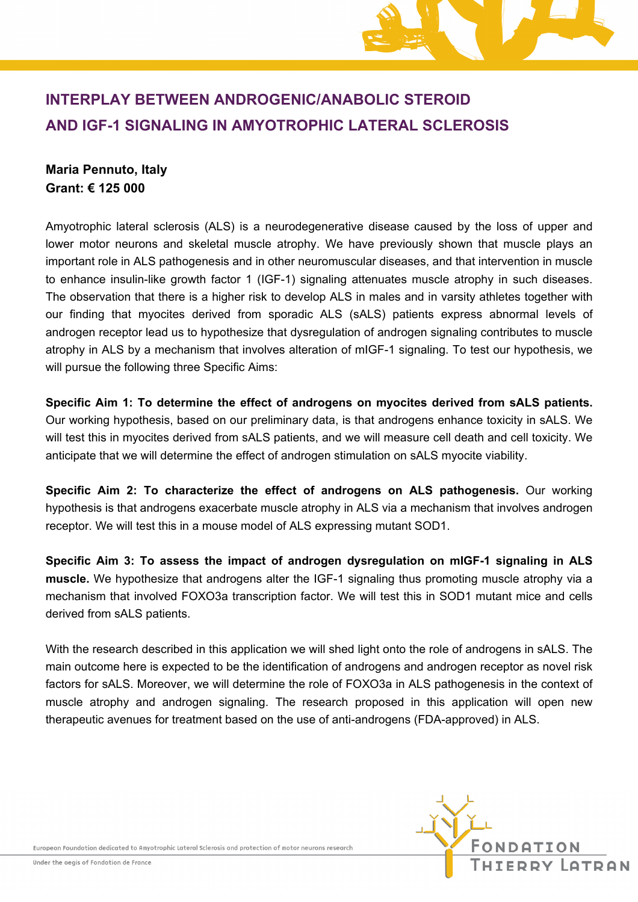# **INTERPLAY BETWEEN ANDROGENIC/ANABOLIC STEROID AND IGF-1 SIGNALING IN AMYOTROPHIC LATERAL SCLEROSIS**

## **Maria Pennuto, Italy Grant: € 125 000**

Amyotrophic lateral sclerosis (ALS) is a neurodegenerative disease caused by the loss of upper and lower motor neurons and skeletal muscle atrophy. We have previously shown that muscle plays an important role in ALS pathogenesis and in other neuromuscular diseases, and that intervention in muscle to enhance insulin-like growth factor 1 (IGF-1) signaling attenuates muscle atrophy in such diseases. The observation that there is a higher risk to develop ALS in males and in varsity athletes together with our finding that myocites derived from sporadic ALS (sALS) patients express abnormal levels of androgen receptor lead us to hypothesize that dysregulation of androgen signaling contributes to muscle atrophy in ALS by a mechanism that involves alteration of mIGF-1 signaling. To test our hypothesis, we will pursue the following three Specific Aims:

**Specific Aim 1: To determine the effect of androgens on myocites derived from sALS patients.**  Our working hypothesis, based on our preliminary data, is that androgens enhance toxicity in sALS. We will test this in myocites derived from sALS patients, and we will measure cell death and cell toxicity. We anticipate that we will determine the effect of androgen stimulation on sALS myocite viability.

**Specific Aim 2: To characterize the effect of androgens on ALS pathogenesis.** Our working hypothesis is that androgens exacerbate muscle atrophy in ALS via a mechanism that involves androgen receptor. We will test this in a mouse model of ALS expressing mutant SOD1.

**Specific Aim 3: To assess the impact of androgen dysregulation on mIGF-1 signaling in ALS muscle.** We hypothesize that androgens alter the IGF-1 signaling thus promoting muscle atrophy via a mechanism that involved FOXO3a transcription factor. We will test this in SOD1 mutant mice and cells derived from sALS patients.

With the research described in this application we will shed light onto the role of androgens in sALS. The main outcome here is expected to be the identification of androgens and androgen receptor as novel risk factors for sALS. Moreover, we will determine the role of FOXO3a in ALS pathogenesis in the context of muscle atrophy and androgen signaling. The research proposed in this application will open new therapeutic avenues for treatment based on the use of anti-androgens (FDA-approved) in ALS.



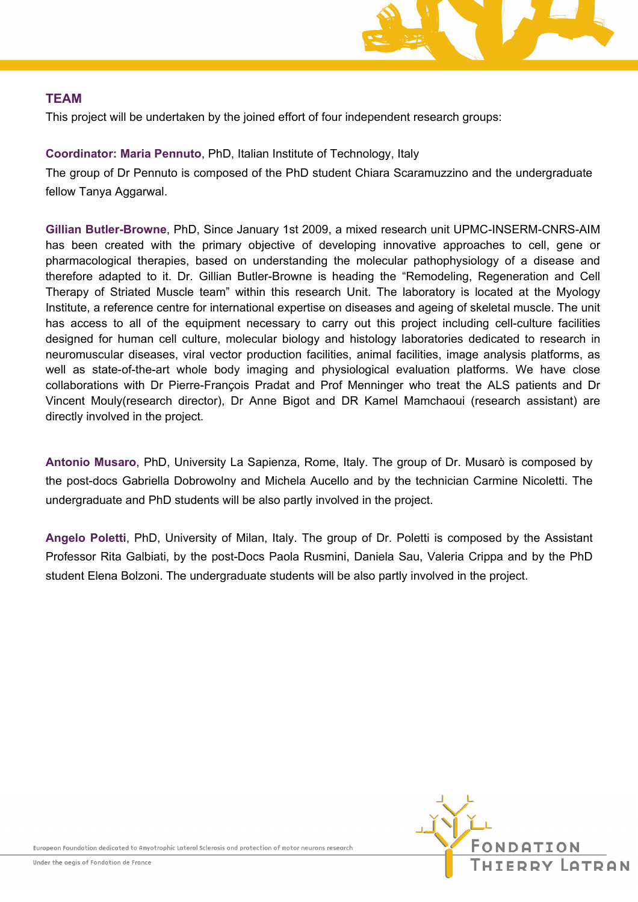

#### **TEAM**

This project will be undertaken by the joined effort of four independent research groups:

### **Coordinator: Maria Pennuto**, PhD, Italian Institute of Technology, Italy

The group of Dr Pennuto is composed of the PhD student Chiara Scaramuzzino and the undergraduate fellow Tanya Aggarwal.

**Gillian Butler-Browne**, PhD, Since January 1st 2009, a mixed research unit UPMC-INSERM-CNRS-AIM has been created with the primary objective of developing innovative approaches to cell, gene or pharmacological therapies, based on understanding the molecular pathophysiology of a disease and therefore adapted to it. Dr. Gillian Butler-Browne is heading the "Remodeling, Regeneration and Cell Therapy of Striated Muscle team" within this research Unit. The laboratory is located at the Myology Institute, a reference centre for international expertise on diseases and ageing of skeletal muscle. The unit has access to all of the equipment necessary to carry out this project including cell-culture facilities designed for human cell culture, molecular biology and histology laboratories dedicated to research in neuromuscular diseases, viral vector production facilities, animal facilities, image analysis platforms, as well as state-of-the-art whole body imaging and physiological evaluation platforms. We have close collaborations with Dr Pierre-François Pradat and Prof Menninger who treat the ALS patients and Dr Vincent Mouly(research director), Dr Anne Bigot and DR Kamel Mamchaoui (research assistant) are directly involved in the project.

**Antonio Musaro**, PhD, University La Sapienza, Rome, Italy. The group of Dr. Musarò is composed by the post-docs Gabriella Dobrowolny and Michela Aucello and by the technician Carmine Nicoletti. The undergraduate and PhD students will be also partly involved in the project.

**Angelo Poletti**, PhD, University of Milan, Italy. The group of Dr. Poletti is composed by the Assistant Professor Rita Galbiati, by the post-Docs Paola Rusmini, Daniela Sau, Valeria Crippa and by the PhD student Elena Bolzoni. The undergraduate students will be also partly involved in the project.

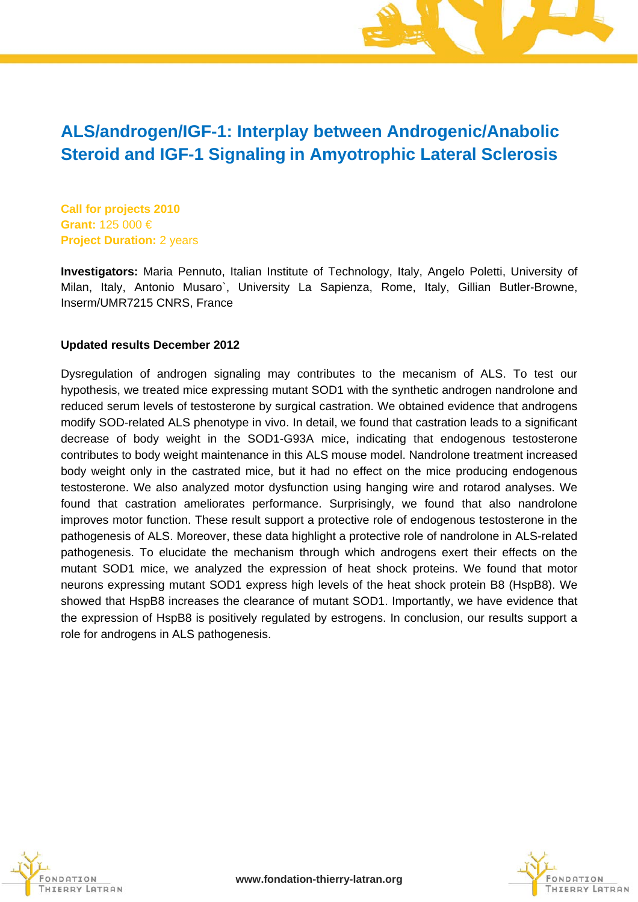## **ALS/androgen/IGF-1: Interplay between Androgenic/Anabolic Steroid and IGF-1 Signaling in Amyotrophic Lateral Sclerosis**

**Call for projects 2010 Grant:** 125 000 € **Project Duration:** 2 years

**Investigators:** Maria Pennuto, Italian Institute of Technology, Italy, Angelo Poletti, University of Milan, Italy, Antonio Musaro`, University La Sapienza, Rome, Italy, Gillian Butler-Browne, Inserm/UMR7215 CNRS, France

#### **Updated results December 2012**

Dysregulation of androgen signaling may contributes to the mecanism of ALS. To test our hypothesis, we treated mice expressing mutant SOD1 with the synthetic androgen nandrolone and reduced serum levels of testosterone by surgical castration. We obtained evidence that androgens modify SOD-related ALS phenotype in vivo. In detail, we found that castration leads to a significant decrease of body weight in the SOD1-G93A mice, indicating that endogenous testosterone contributes to body weight maintenance in this ALS mouse model. Nandrolone treatment increased body weight only in the castrated mice, but it had no effect on the mice producing endogenous testosterone. We also analyzed motor dysfunction using hanging wire and rotarod analyses. We found that castration ameliorates performance. Surprisingly, we found that also nandrolone improves motor function. These result support a protective role of endogenous testosterone in the pathogenesis of ALS. Moreover, these data highlight a protective role of nandrolone in ALS-related pathogenesis. To elucidate the mechanism through which androgens exert their effects on the mutant SOD1 mice, we analyzed the expression of heat shock proteins. We found that motor neurons expressing mutant SOD1 express high levels of the heat shock protein B8 (HspB8). We showed that HspB8 increases the clearance of mutant SOD1. Importantly, we have evidence that the expression of HspB8 is positively regulated by estrogens. In conclusion, our results support a role for androgens in ALS pathogenesis.